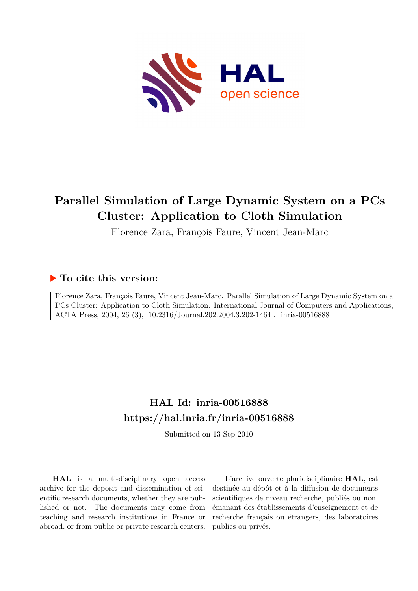

# **Parallel Simulation of Large Dynamic System on a PCs Cluster: Application to Cloth Simulation**

Florence Zara, François Faure, Vincent Jean-Marc

### **To cite this version:**

Florence Zara, François Faure, Vincent Jean-Marc. Parallel Simulation of Large Dynamic System on a PCs Cluster: Application to Cloth Simulation. International Journal of Computers and Applications, ACTA Press, 2004, 26 (3), 10.2316/Journal.202.2004.3.202-1464. inria-00516888

## **HAL Id: inria-00516888 <https://hal.inria.fr/inria-00516888>**

Submitted on 13 Sep 2010

**HAL** is a multi-disciplinary open access archive for the deposit and dissemination of scientific research documents, whether they are published or not. The documents may come from teaching and research institutions in France or abroad, or from public or private research centers.

L'archive ouverte pluridisciplinaire **HAL**, est destinée au dépôt et à la diffusion de documents scientifiques de niveau recherche, publiés ou non, émanant des établissements d'enseignement et de recherche français ou étrangers, des laboratoires publics ou privés.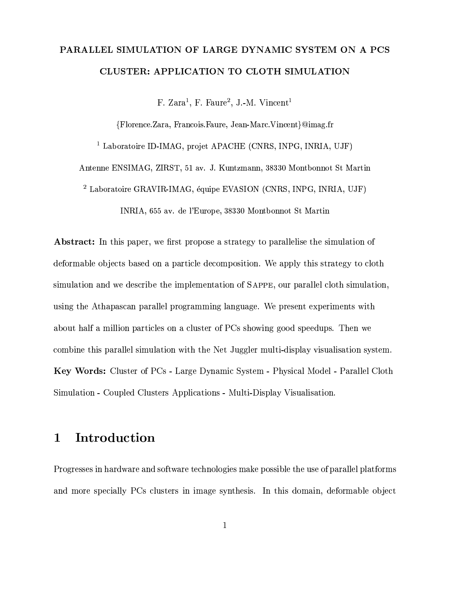# PARALLEL SIMULATION OF LARGE DYNAMIC SYSTEM ON A PCS CLUSTER: APPLICATION TO CLOTH SIMULATION

F. Zara<sup>1</sup>, F. Faure<sup>2</sup>, J.-M. Vincent<sup>1</sup>

{Florence.Zara, Francois.Faure, Jean-Marc.Vincent}@imag.fr

<sup>1</sup> Laboratoire ID-IMAG, projet APACHE (CNRS, INPG, INRIA, UJF)

Antenne ENSIMAG, ZIRST, 51 av. J. Kuntzmann, 38330 Montbonnot St Martin

<sup>2</sup> Laboratoire GRAVIR-IMAG, équipe EVASION (CNRS, INPG, INRIA, UJF)

INRIA, 655 av. de l'Europe, 38330 Montbonnot St Martin

Abstract: In this paper, we first propose a strategy to parallelise the simulation of deformable objects based on a particle decomposition. We apply this strategy to cloth simulation and we describe the implementation of SAPPE, our parallel cloth simulation. using the Athapascan parallel programming language. We present experiments with about half a million particles on a cluster of PCs showing good speedups. Then we combine this parallel simulation with the Net Juggler multi-display visualisation system. Key Words: Cluster of PCs - Large Dynamic System - Physical Model - Parallel Cloth Simulation - Coupled Clusters Applications - Multi-Display Visualisation.

### Introduction  $\mathbf{1}$

Progresses in hardware and software technologies make possible the use of parallel platforms and more specially PCs clusters in image synthesis. In this domain, deformable object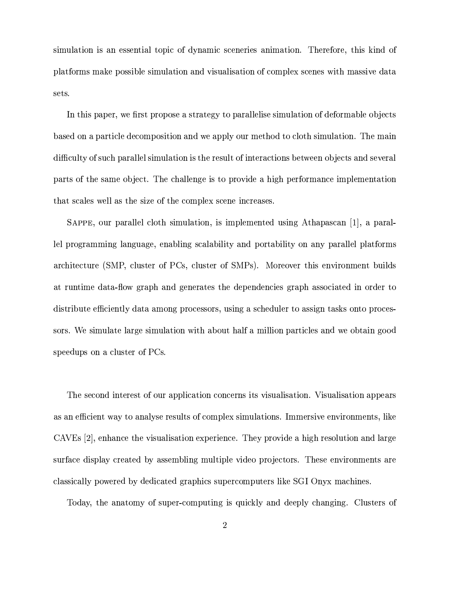simulation is an essential topic of dynamic sceneries animation. Therefore, this kind of platforms make possible simulation and visualisation of complex scenes with massive data sets.

In this paper, we first propose a strategy to parallelise simulation of deformable objects based on a particle decomposition and we apply our method to cloth simulation. The main difficulty of such parallel simulation is the result of interactions between objects and several parts of the same object. The challenge is to provide a high performance implementation that scales well as the size of the complex scene increases.

SAPPE, our parallel cloth simulation, is implemented using Athapascan [1], a parallel programming language, enabling scalability and portability on any parallel platforms architecture (SMP, cluster of PCs, cluster of SMPs). Moreover this environment builds at runtime data-flow graph and generates the dependencies graph associated in order to distribute efficiently data among processors, using a scheduler to assign tasks onto processors. We simulate large simulation with about half a million particles and we obtain good speedups on a cluster of PCs.

The second interest of our application concerns its visualisation. Visualisation appears as an efficient way to analyse results of complex simulations. Immersive environments, like CAVEs [2], enhance the visualisation experience. They provide a high resolution and large surface display created by assembling multiple video projectors. These environments are classically powered by dedicated graphics supercomputers like SGI Onyx machines.

Today, the anatomy of super-computing is quickly and deeply changing. Clusters of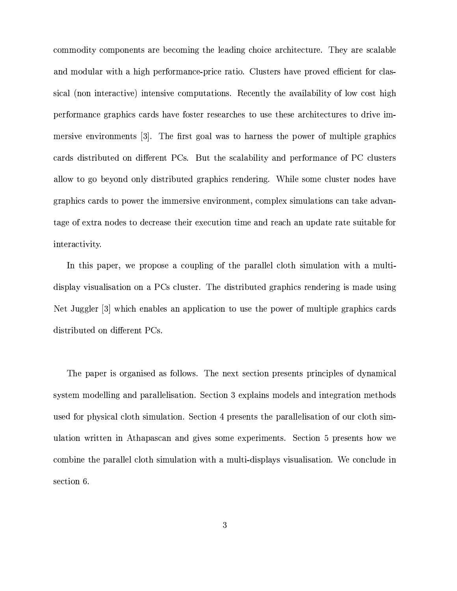commodity components are becoming the leading choice architecture. They are scalable and modular with a high performance-price ratio. Clusters have proved efficient for classical (non interactive) intensive computations. Recently the availability of low cost high performance graphics cards have foster researches to use these architectures to drive immersive environments [3]. The first goal was to harness the power of multiple graphics cards distributed on different PCs. But the scalability and performance of PC clusters allow to go beyond only distributed graphics rendering. While some cluster nodes have graphics cards to power the immersive environment, complex simulations can take advantage of extra nodes to decrease their execution time and reach an update rate suitable for interactivity.

In this paper, we propose a coupling of the parallel cloth simulation with a multidisplay visualisation on a PCs cluster. The distributed graphics rendering is made using Net Juggler [3] which enables an application to use the power of multiple graphics cards distributed on different PCs.

The paper is organised as follows. The next section presents principles of dynamical system modelling and parallelisation. Section 3 explains models and integration methods used for physical cloth simulation. Section 4 presents the parallelisation of our cloth simulation written in Athapascan and gives some experiments. Section 5 presents how we combine the parallel cloth simulation with a multi-displays visualisation. We conclude in section 6.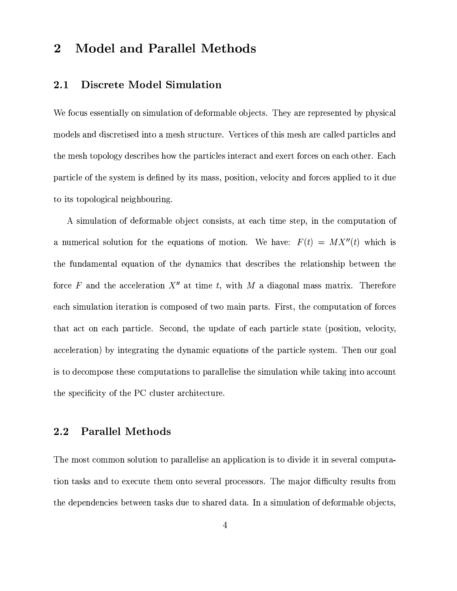### **Model and Parallel Methods**  $\overline{2}$

#### $2.1$ Discrete Model Simulation

We focus essentially on simulation of deformable objects. They are represented by physical models and discretised into a mesh structure. Vertices of this mesh are called particles and the mesh topology describes how the particles interact and exert forces on each other. Each particle of the system is defined by its mass, position, velocity and forces applied to it due to its topological neighbouring.

A simulation of deformable object consists, at each time step, in the computation of a numerical solution for the equations of motion. We have:  $F(t) = MX''(t)$  which is the fundamental equation of the dynamics that describes the relationship between the force F and the acceleration  $X''$  at time t, with M a diagonal mass matrix. Therefore each simulation iteration is composed of two main parts. First, the computation of forces that act on each particle. Second, the update of each particle state (position, velocity, acceleration) by integrating the dynamic equations of the particle system. Then our goal is to decompose these computations to parallelise the simulation while taking into account the specificity of the PC cluster architecture.

#### 2.2 **Parallel Methods**

The most common solution to parallelise an application is to divide it in several computation tasks and to execute them onto several processors. The major difficulty results from the dependencies between tasks due to shared data. In a simulation of deformable objects,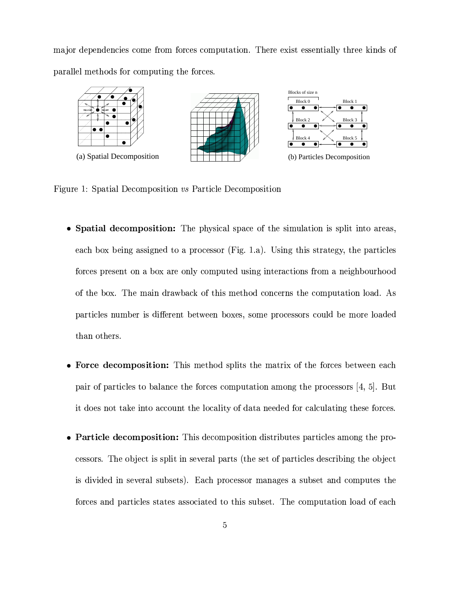major dependencies come from forces computation. There exist essentially three kinds of parallel methods for computing the forces.



Figure 1: Spatial Decomposition vs Particle Decomposition

- Spatial decomposition: The physical space of the simulation is split into areas, each box being assigned to a processor (Fig. 1.a). Using this strategy, the particles forces present on a box are only computed using interactions from a neighbourhood of the box. The main drawback of this method concerns the computation load. As particles number is different between boxes, some processors could be more loaded than others.
- Force decomposition: This method splits the matrix of the forces between each pair of particles to balance the forces computation among the processors  $[4, 5]$ . But it does not take into account the locality of data needed for calculating these forces.
- Particle decomposition: This decomposition distributes particles among the processors. The object is split in several parts (the set of particles describing the object is divided in several subsets). Each processor manages a subset and computes the forces and particles states associated to this subset. The computation load of each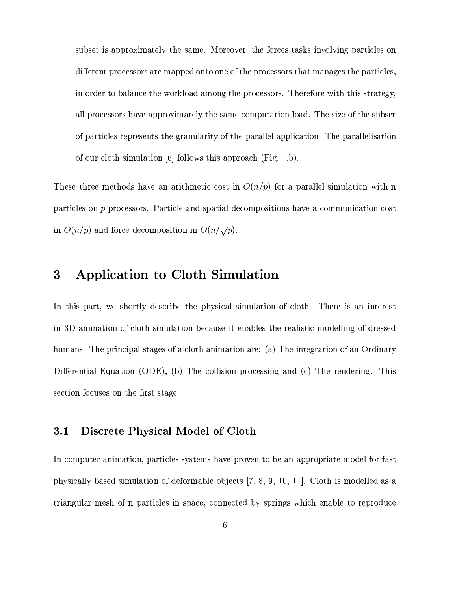subset is approximately the same. Moreover, the forces tasks involving particles on different processors are mapped onto one of the processors that manages the particles, in order to balance the workload among the processors. Therefore with this strategy, all processors have approximately the same computation load. The size of the subset of particles represents the granularity of the parallel application. The parallelisation of our cloth simulation [6] follows this approach (Fig. 1.b).

These three methods have an arithmetic cost in  $O(n/p)$  for a parallel simulation with n particles on  $p$  processors. Particle and spatial decompositions have a communication cost in  $O(n/p)$  and force decomposition in  $O(n/\sqrt{p})$ .

#### Application to Cloth Simulation 3

In this part, we shortly describe the physical simulation of cloth. There is an interest in 3D animation of cloth simulation because it enables the realistic modelling of dressed humans. The principal stages of a cloth animation are: (a) The integration of an Ordinary Differential Equation (ODE), (b) The collision processing and (c) The rendering. This section focuses on the first stage.

#### $3.1$ Discrete Physical Model of Cloth

In computer animation, particles systems have proven to be an appropriate model for fast physically based simulation of deformable objects  $[7, 8, 9, 10, 11]$ . Cloth is modelled as a triangular mesh of n particles in space, connected by springs which enable to reproduce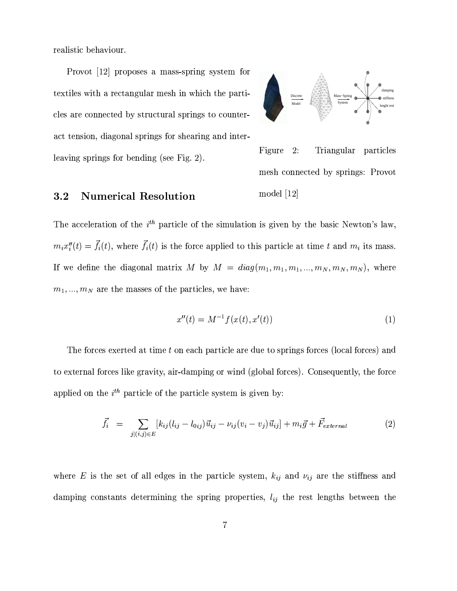realistic behaviour.

Provot [12] proposes a mass-spring system for textiles with a rectangular mesh in which the particles are connected by structural springs to counteract tension, diagonal springs for shearing and interleaving springs for bending (see Fig. 2).



Figure  $2:$ Triangular particles mesh connected by springs: Provot model  $[12]$ 

#### $3.2$ **Numerical Resolution**

The acceleration of the  $i^{th}$  particle of the simulation is given by the basic Newton's law,  $m_i x_i''(t) = \vec{f}_i(t)$ , where  $\vec{f}_i(t)$  is the force applied to this particle at time t and  $m_i$  its mass. If we define the diagonal matrix M by  $M = diag(m_1, m_1, m_1, ..., m_N, m_N, m_N)$ , where  $m_1, ..., m_N$  are the masses of the particles, we have:

$$
x''(t) = M^{-1}f(x(t), x'(t))
$$
\n(1)

The forces exerted at time t on each particle are due to springs forces (local forces) and to external forces like gravity, air-damping or wind (global forces). Consequently, the force applied on the  $i^{th}$  particle of the particle system is given by:

$$
\vec{f}_i = \sum_{j|(i,j)\in E} [k_{ij}(l_{ij} - l_{0ij})\vec{u}_{ij} - \nu_{ij}(v_i - v_j)\vec{u}_{ij}] + m_i \vec{g} + \vec{F}_{external}
$$
\n(2)

where E is the set of all edges in the particle system,  $k_{ij}$  and  $\nu_{ij}$  are the stiffness and damping constants determining the spring properties,  $l_{ij}$  the rest lengths between the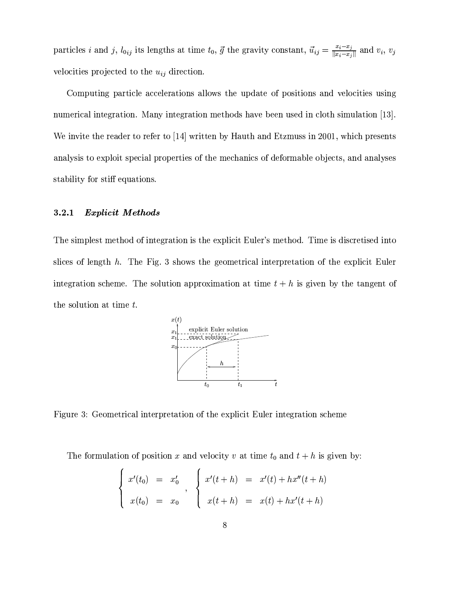particles *i* and *j*,  $l_{0ij}$  its lengths at time  $t_0$ ,  $\vec{g}$  the gravity constant,  $\vec{u}_{ij} = \frac{x_i - x_j}{\|x_i - x_j\|}$  and  $v_i$ ,  $v_j$ velocities projected to the  $u_{ij}$  direction.

Computing particle accelerations allows the update of positions and velocities using numerical integration. Many integration methods have been used in cloth simulation [13]. We invite the reader to refer to [14] written by Hauth and Etzmuss in 2001, which presents analysis to exploit special properties of the mechanics of deformable objects, and analyses stability for stiff equations.

#### 3.2.1 **Explicit Methods**

The simplest method of integration is the explicit Euler's method. Time is discretised into slices of length  $h$ . The Fig. 3 shows the geometrical interpretation of the explicit Euler integration scheme. The solution approximation at time  $t + h$  is given by the tangent of the solution at time  $t$ .



Figure 3: Geometrical interpretation of the explicit Euler integration scheme

The formulation of position x and velocity v at time  $t_0$  and  $t + h$  is given by:

$$
\begin{cases}\nx'(t_0) = x'_0 \\
x(t_0) = x_0\n\end{cases},\n\begin{cases}\nx'(t+h) = x'(t) + hx''(t+h) \\
x(t+h) = x(t) + hx'(t+h)\n\end{cases}
$$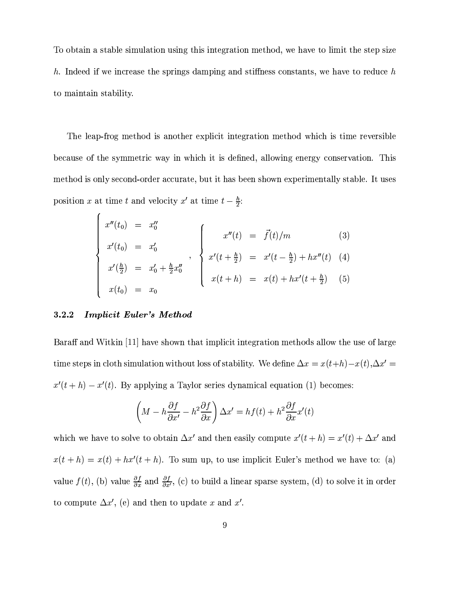To obtain a stable simulation using this integration method, we have to limit the step size h. Indeed if we increase the springs damping and stiffness constants, we have to reduce h to maintain stability.

The leap-frog method is another explicit integration method which is time reversible because of the symmetric way in which it is defined, allowing energy conservation. This method is only second-order accurate, but it has been shown experimentally stable. It uses position x at time t and velocity x' at time  $t - \frac{h}{2}$ .

$$
\begin{cases}\nx''(t_0) = x_0'' \\
x'(t_0) = x_0' \\
x'(\frac{h}{2}) = x_0' + \frac{h}{2}x_0''\n\end{cases},\n\begin{cases}\nx''(t) = \vec{f}(t)/m \tag{3} \\
x'(t + \frac{h}{2}) = x'(t - \frac{h}{2}) + hx''(t) \tag{4} \\
x(t + h) = x(t) + hx'(t + \frac{h}{2}) \tag{5}\n\end{cases}
$$

#### **Implicit Euler's Method** 3.2.2

Baraff and Witkin [11] have shown that implicit integration methods allow the use of large time steps in cloth simulation without loss of stability. We define  $\Delta x = x(t+h) - x(t), \Delta x' =$  $x'(t+h) - x'(t)$ . By applying a Taylor series dynamical equation (1) becomes:

$$
\left(M - h\frac{\partial f}{\partial x'} - h^2 \frac{\partial f}{\partial x}\right) \Delta x' = h f(t) + h^2 \frac{\partial f}{\partial x} x'(t)
$$

which we have to solve to obtain  $\Delta x'$  and then easily compute  $x'(t+h) = x'(t) + \Delta x'$  and  $x(t+h) = x(t) + hx'(t+h)$ . To sum up, to use implicit Euler's method we have to: (a) value  $f(t)$ , (b) value  $\frac{\partial f}{\partial x}$  and  $\frac{\partial f}{\partial x'}$ , (c) to build a linear sparse system, (d) to solve it in order to compute  $\Delta x'$ , (e) and then to update x and x'.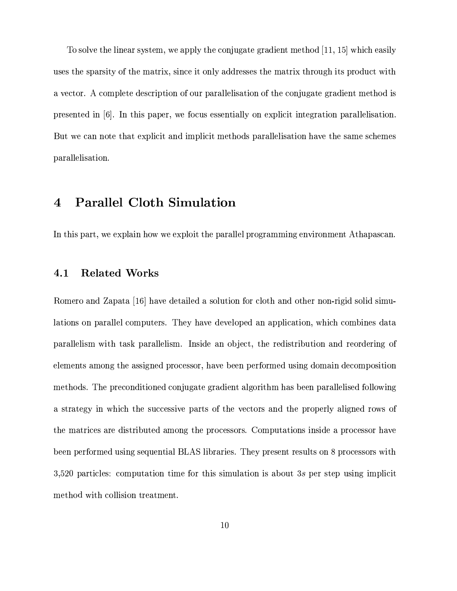To solve the linear system, we apply the conjugate gradient method [11, 15] which easily uses the sparsity of the matrix, since it only addresses the matrix through its product with a vector. A complete description of our parallelisation of the conjugate gradient method is presented in [6]. In this paper, we focus essentially on explicit integration parallelisation. But we can note that explicit and implicit methods parallelisation have the same schemes parallelisation.

#### **Parallel Cloth Simulation**  $\bf 4$

In this part, we explain how we exploit the parallel programming environment Athapascan.

#### **Related Works** 4.1

Romero and Zapata [16] have detailed a solution for cloth and other non-rigid solid simulations on parallel computers. They have developed an application, which combines data parallelism with task parallelism. Inside an object, the redistribution and reordering of elements among the assigned processor, have been performed using domain decomposition methods. The preconditioned conjugate gradient algorithm has been parallelised following a strategy in which the successive parts of the vectors and the properly aligned rows of the matrices are distributed among the processors. Computations inside a processor have been performed using sequential BLAS libraries. They present results on 8 processors with  $3,520$  particles: computation time for this simulation is about 3s per step using implicit method with collision treatment.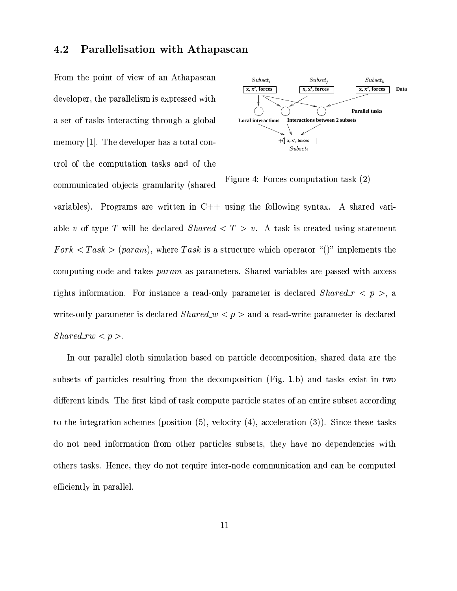#### 4.2 Parallelisation with Athapascan

From the point of view of an Athapascan developer, the parallelism is expressed with a set of tasks interacting through a global memory  $[1]$ . The developer has a total control of the computation tasks and of the communicated objects granularity (shared



Figure 4: Forces computation task (2)

variables). Programs are written in  $C++$  using the following syntax. A shared variable v of type T will be declared *Shared*  $\lt T > v$ . A task is created using statement  $Fork < Task > (param)$ , where Task is a structure which operator "()" implements the computing code and takes param as parameters. Shared variables are passed with access rights information. For instance a read-only parameter is declared  $Shared_r < p >$ , a write-only parameter is declared  $Shared_w < p >$  and a read-write parameter is declared  $Shared_r w < p >$ .

In our parallel cloth simulation based on particle decomposition, shared data are the subsets of particles resulting from the decomposition (Fig. 1.b) and tasks exist in two different kinds. The first kind of task compute particle states of an entire subset according to the integration schemes (position  $(5)$ , velocity  $(4)$ , acceleration  $(3)$ ). Since these tasks do not need information from other particles subsets, they have no dependencies with others tasks. Hence, they do not require inter-node communication and can be computed efficiently in parallel.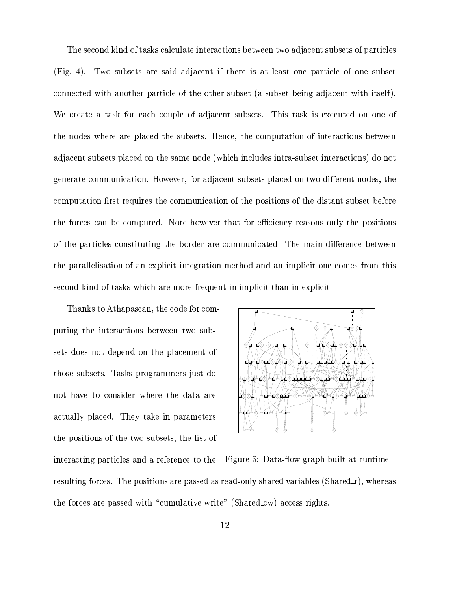The second kind of tasks calculate interactions between two adjacent subsets of particles (Fig. 4). Two subsets are said adjacent if there is at least one particle of one subset connected with another particle of the other subset (a subset being adjacent with itself). We create a task for each couple of adjacent subsets. This task is executed on one of the nodes where are placed the subsets. Hence, the computation of interactions between adjacent subsets placed on the same node (which includes intra-subset interactions) do not generate communication. However, for adjacent subsets placed on two different nodes, the computation first requires the communication of the positions of the distant subset before the forces can be computed. Note however that for efficiency reasons only the positions of the particles constituting the border are communicated. The main difference between the parallelisation of an explicit integration method and an implicit one comes from this second kind of tasks which are more frequent in implicit than in explicit.

Thanks to Athapascan, the code for computing the interactions between two subsets does not depend on the placement of those subsets. Tasks programmers just do not have to consider where the data are actually placed. They take in parameters the positions of the two subsets, the list of



interacting particles and a reference to the Figure 5: Data-flow graph built at runtime resulting forces. The positions are passed as read-only shared variables (Shared\_r), whereas the forces are passed with "cumulative write" (Shared cw) access rights.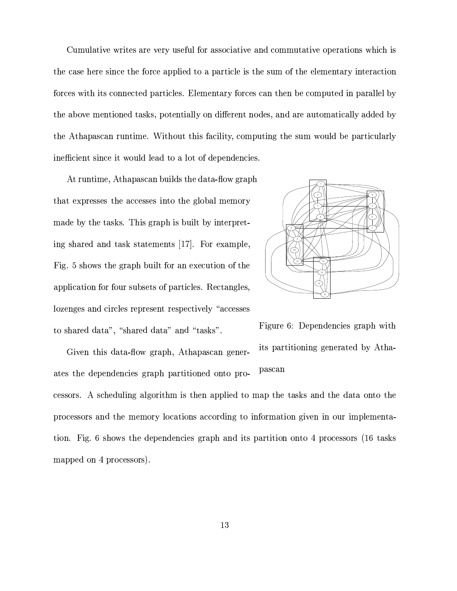Cumulative writes are very useful for associative and commutative operations which is the case here since the force applied to a particle is the sum of the elementary interaction forces with its connected particles. Elementary forces can then be computed in parallel by the above mentioned tasks, potentially on different nodes, and are automatically added by the Athapascan runtime. Without this facility, computing the sum would be particularly inefficient since it would lead to a lot of dependencies.

At runtime, Athapascan builds the data-flow graph that expresses the accesses into the global memory made by the tasks. This graph is built by interpreting shared and task statements [17]. For example, Fig. 5 shows the graph built for an execution of the application for four subsets of particles. Rectangles, lozenges and circles represent respectively "accesses" to shared data", "shared data" and "tasks".

Given this data-flow graph, Athapascan generates the dependencies graph partitioned onto pro-



Figure 6: Dependencies graph with its partitioning generated by Athapascan

cessors. A scheduling algorithm is then applied to map the tasks and the data onto the processors and the memory locations according to information given in our implementation. Fig. 6 shows the dependencies graph and its partition onto 4 processors (16 tasks mapped on 4 processors).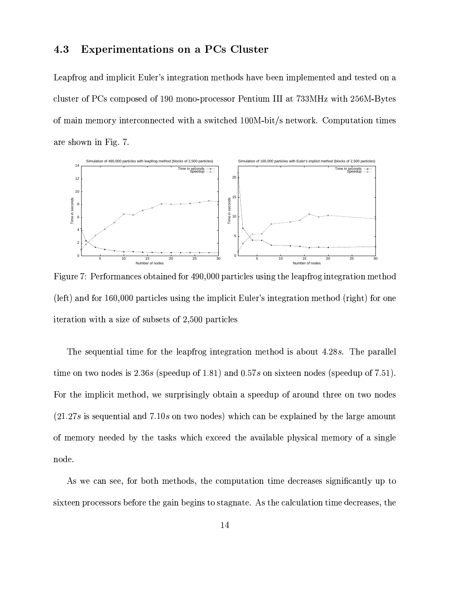#### **Experimentations on a PCs Cluster** 4.3

Leapfrog and implicit Euler's integration methods have been implemented and tested on a cluster of PCs composed of 190 mono-processor Pentium III at 733MHz with 256M-Bytes of main memory interconnected with a switched 100M-bit/s network. Computation times are shown in Fig. 7.



Figure 7: Performances obtained for 490,000 particles using the leapfrog integration method (left) and for 160,000 particles using the implicit Euler's integration method (right) for one iteration with a size of subsets of 2,500 particles

The sequential time for the leapfrog integration method is about 4.28s. The parallel time on two nodes is 2.36s (speedup of 1.81) and 0.57s on sixteen nodes (speedup of 7.51). For the implicit method, we surprisingly obtain a speedup of around three on two nodes  $(21.27s)$  is sequential and 7.10s on two nodes) which can be explained by the large amount of memory needed by the tasks which exceed the available physical memory of a single node.

As we can see, for both methods, the computation time decreases significantly up to sixteen processors before the gain begins to stagnate. As the calculation time decreases, the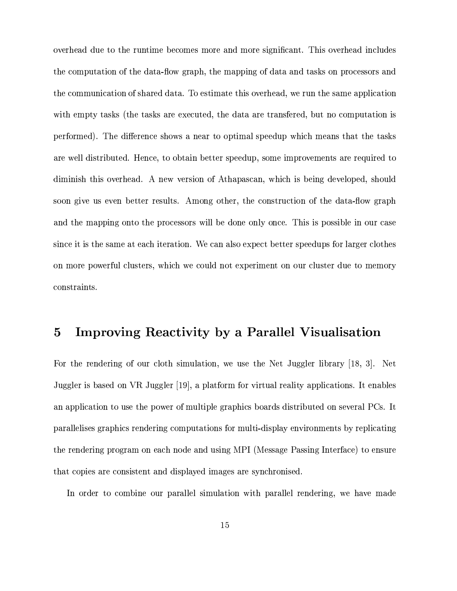overhead due to the runtime becomes more and more significant. This overhead includes the computation of the data-flow graph, the mapping of data and tasks on processors and the communication of shared data. To estimate this overhead, we run the same application with empty tasks (the tasks are executed, the data are transferred, but no computation is performed). The difference shows a near to optimal speedup which means that the tasks are well distributed. Hence, to obtain better speedup, some improvements are required to diminish this overhead. A new version of Athapascan, which is being developed, should soon give us even better results. Among other, the construction of the data-flow graph and the mapping onto the processors will be done only once. This is possible in our case since it is the same at each iteration. We can also expect better speedups for larger clothes on more powerful clusters, which we could not experiment on our cluster due to memory constraints.

#### Improving Reactivity by a Parallel Visualisation  $\mathbf{5}$

For the rendering of our cloth simulation, we use the Net Juggler library [18, 3]. Net Juggler is based on VR Juggler [19], a platform for virtual reality applications. It enables an application to use the power of multiple graphics boards distributed on several PCs. It parallelises graphics rendering computations for multi-display environments by replicating the rendering program on each node and using MPI (Message Passing Interface) to ensure that copies are consistent and displayed images are synchronised.

In order to combine our parallel simulation with parallel rendering, we have made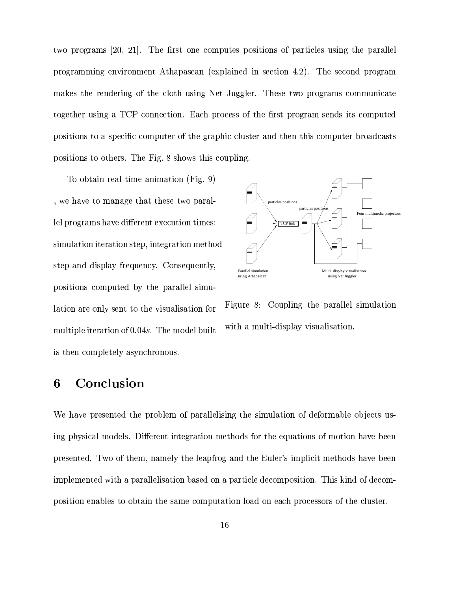two programs [20, 21]. The first one computes positions of particles using the parallel programming environment Athapascan (explained in section 4.2). The second program makes the rendering of the cloth using Net Juggler. These two programs communicate together using a TCP connection. Each process of the first program sends its computed positions to a specific computer of the graphic cluster and then this computer broadcasts positions to others. The Fig. 8 shows this coupling.

To obtain real time animation (Fig. 9) , we have to manage that these two parallel programs have different execution times: simulation iteration step, integration method step and display frequency. Consequently, positions computed by the parallel simulation are only sent to the visualisation for multiple iteration of 0.04s. The model built is then completely asynchronous.



Figure 8: Coupling the parallel simulation with a multi-display visualisation.

### Conclusion 6

We have presented the problem of parallelising the simulation of deformable objects using physical models. Different integration methods for the equations of motion have been presented. Two of them, namely the leapfrog and the Euler's implicit methods have been implemented with a parallelisation based on a particle decomposition. This kind of decomposition enables to obtain the same computation load on each processors of the cluster.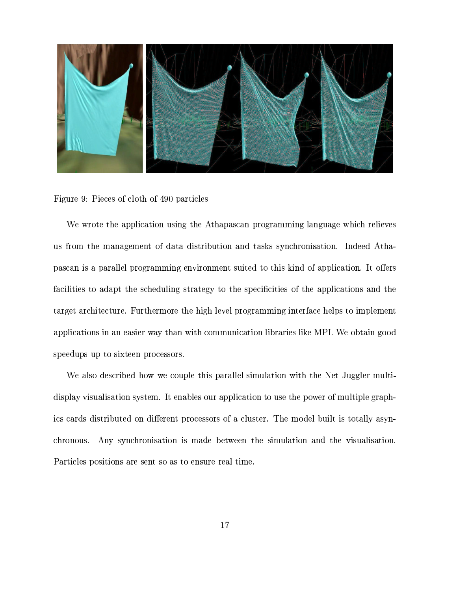

Figure 9: Pieces of cloth of 490 particles

We wrote the application using the Athapascan programming language which relieves us from the management of data distribution and tasks synchronisation. Indeed Athapascan is a parallel programming environment suited to this kind of application. It offers facilities to adapt the scheduling strategy to the specificities of the applications and the target architecture. Furthermore the high level programming interface helps to implement applications in an easier way than with communication libraries like MPI. We obtain good speedups up to sixteen processors.

We also described how we couple this parallel simulation with the Net Juggler multidisplay visualisation system. It enables our application to use the power of multiple graphics cards distributed on different processors of a cluster. The model built is totally asynchronous. Any synchronisation is made between the simulation and the visualisation. Particles positions are sent so as to ensure real time.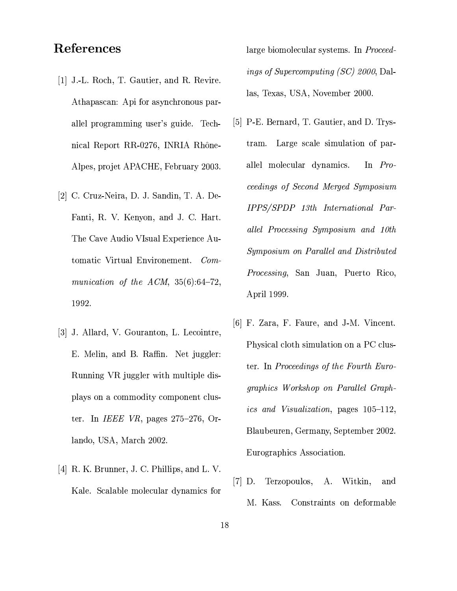## References

- [1] J.-L. Roch, T. Gautier, and R. Revire. Athapascan: Api for asynchronous parallel programming user's guide. Technical Report RR-0276, INRIA Rhône-Alpes, projet APACHE, February 2003.
- [2] C. Cruz-Neira, D. J. Sandin, T. A. De-Fanti, R. V. Kenyon, and J. C. Hart. The Cave Audio VIsual Experience Automatic Virtual Environement. Communication of the ACM,  $35(6):64-72$ , 1992.
- [3] J. Allard, V. Gouranton, L. Lecointre, E. Melin, and B. Raffin. Net juggler: Running VR juggler with multiple displays on a commodity component cluster. In *IEEE VR*, pages  $275-276$ , Orlando, USA, March 2002.
- [4] R. K. Brunner, J. C. Phillips, and L. V. Kale. Scalable molecular dynamics for

large biomolecular systems. In *Proceed*ings of Supercomputing (SC) 2000, Dallas, Texas, USA, November 2000.

- [5] P-E. Bernard, T. Gautier, and D. Trys-Large scale simulation of partram. allel molecular dynamics. In  $Pro$ ceedings of Second Merged Symposium IPPS/SPDP 13th International Parallel Processing Symposium and 10th Symposium on Parallel and Distributed *Processing*, San Juan, Puerto Rico, April 1999.
- [6] F. Zara, F. Faure, and J-M. Vincent. Physical cloth simulation on a PC cluster. In *Proceedings of the Fourth Euro*graphics Workshop on Parallel Graph*ics and Visualization*, pages 105-112, Blaubeuren, Germany, September 2002. Eurographics Association.
- $[7]$  D. Terzopoulos, A. Witkin, and M. Kass. Constraints on deformable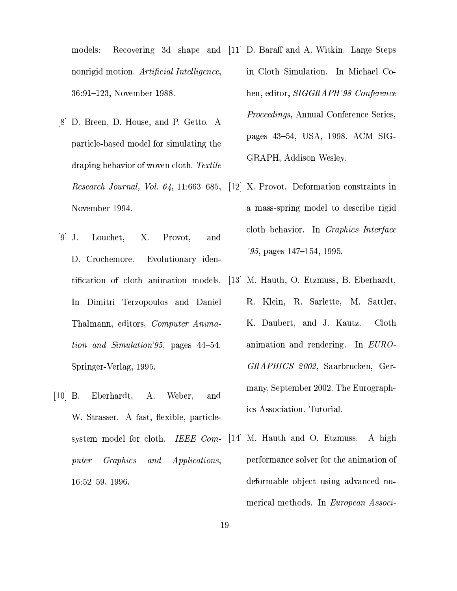models: Recovering 3d shape and [11] D. Baraff and A. Witkin. Large Steps nonrigid motion. Artificial Intelligence, 36:91-123, November 1988.

- [8] D. Breen, D. House, and P. Getto. A particle-based model for simulating the draping behavior of woven cloth. Textile Research Journal, Vol. 64, 11:663-685, November 1994.
- $[9]$  J. Louchet, X. Provot, and D. Crochemore. Evolutionary identification of cloth animation models. In Dimitri Terzopoulos and Daniel Thalmann, editors, Computer Animation and Simulation'95, pages 44–54. Springer-Verlag, 1995.
- $|10|$  B. Eberhardt, А. Weber, and W. Strasser. A fast, flexible, particlesystem model for cloth. IEEE Com-Graphics *Applications*,  $\emph{puter}$ and  $16:52-59, 1996.$
- in Cloth Simulation. In Michael Cohen, editor, *SIGGRAPH'98 Conference* Proceedings, Annual Conference Series, pages 43–54, USA, 1998. ACM SIG-GRAPH, Addison Wesley.
- $|12|$  X. Provot. Deformation constraints in a mass-spring model to describe rigid cloth behavior. In *Graphics Interface*  $'95$ , pages  $147-154$ , 1995.
- [13] M. Hauth, O. Etzmuss, B. Eberhardt, R. Klein, R. Sarlette, M. Sattler, K. Daubert, and J. Kautz. Cloth animation and rendering. In EURO-GRAPHICS 2002, Saarbrucken, Germany, September 2002. The Eurographics Association. Tutorial.
- [14] M. Hauth and O. Etzmuss. A high performance solver for the animation of deformable object using advanced numerical methods. In European Associ-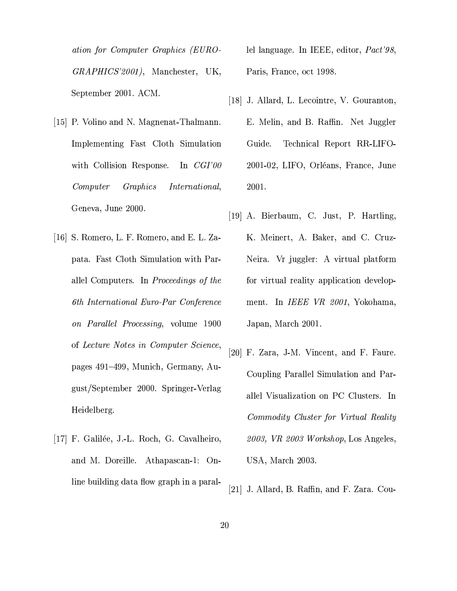ation for Computer Graphics (EURO-GRAPHICS'2001), Manchester, UK, September 2001. ACM.

- [15] P. Volino and N. Magnenat-Thalmann. Implementing Fast Cloth Simulation with Collision Response. In  $CGI'00$ Computer Graphics *International*, Geneva, June 2000.
- [16] S. Romero, L. F. Romero, and E. L. Zapata. Fast Cloth Simulation with Parallel Computers. In Proceedings of the 6th International Euro-Par Conference on Parallel Processing, volume 1900 of Lecture Notes in Computer Science, pages 491–499, Munich, Germany, August/September 2000. Springer-Verlag Heidelberg.
- [17] F. Galilée, J.-L. Roch, G. Cavalheiro, and M. Doreille. Athapascan-1: Online building data flow graph in a paral-

lel language. In IEEE, editor, *Pact'98*, Paris, France, oct 1998.

- [18] J. Allard, L. Lecointre, V. Gouranton, E. Melin, and B. Raffin. Net Juggler Guide. Technical Report RR-LIFO-2001-02, LIFO, Orléans, France, June 2001.
- [19] A. Bierbaum, C. Just, P. Hartling, K. Meinert, A. Baker, and C. Cruz-Neira. Vr juggler: A virtual platform for virtual reality application development. In IEEE VR 2001, Yokohama, Japan, March 2001.
- [20] F. Zara, J-M. Vincent, and F. Faure. Coupling Parallel Simulation and Parallel Visualization on PC Clusters. In Commodity Cluster for Virtual Reality 2003, VR 2003 Workshop, Los Angeles, USA, March 2003.
- [21] J. Allard, B. Raffin, and F. Zara. Cou-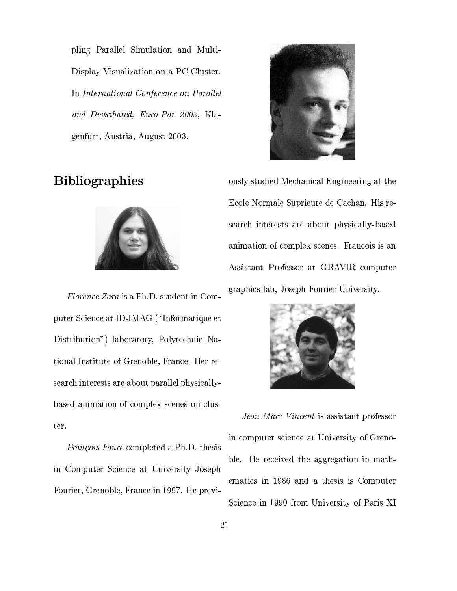pling Parallel Simulation and Multi-Display Visualization on a PC Cluster. In International Conference on Parallel and Distributed, Euro-Par 2003, Klagenfurt, Austria, August 2003.





Florence Zara is a Ph.D. student in Computer Science at ID-IMAG ("Informatique et Distribution") laboratory, Polytechnic National Institute of Grenoble, France. Her research interests are about parallel physicallybased animation of complex scenes on cluster.

*François Faure* completed a Ph.D. thesis in Computer Science at University Joseph Fourier, Grenoble, France in 1997. He previ-



ously studied Mechanical Engineering at the Ecole Normale Suprieure de Cachan. His research interests are about physically-based animation of complex scenes. Francois is an Assistant Professor at GRAVIR computer graphics lab, Joseph Fourier University.



Jean-Marc Vincent is assistant professor in computer science at University of Grenoble. He received the aggregation in mathematics in 1986 and a thesis is Computer Science in 1990 from University of Paris XI